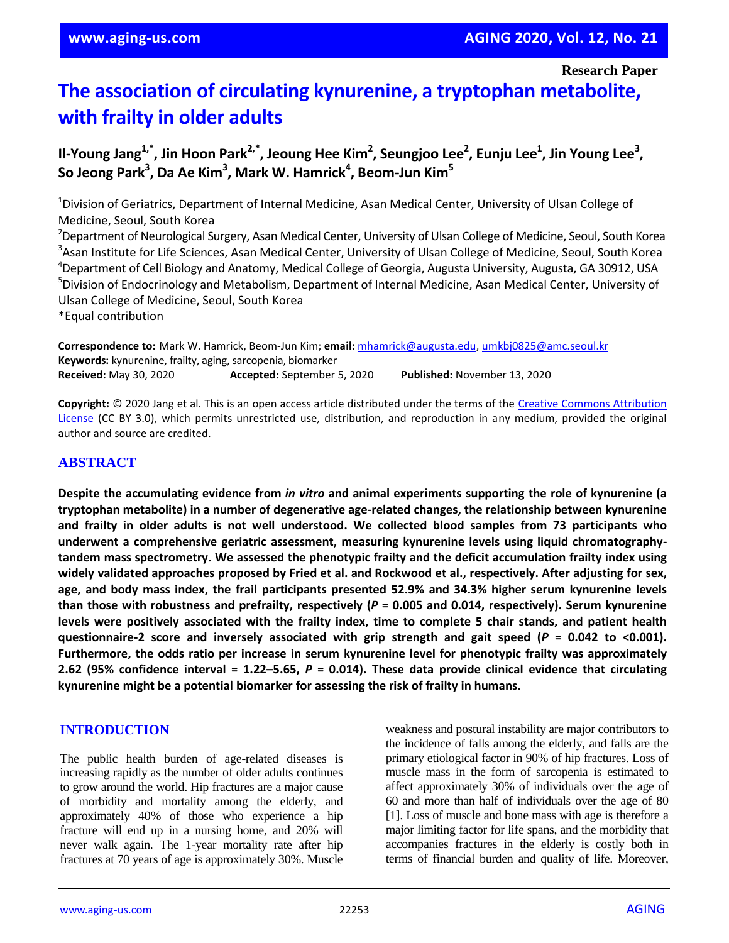**Research Paper**

# **The association of circulating kynurenine, a tryptophan metabolite, with frailty in older adults**

**Il-Young Jang1,\*, Jin Hoon Park2,\*, Jeoung Hee Kim<sup>2</sup> , Seungjoo Lee<sup>2</sup> , Eunju Lee<sup>1</sup> , Jin Young Lee<sup>3</sup> , So Jeong Park<sup>3</sup> , Da Ae Kim<sup>3</sup> , Mark W. Hamrick<sup>4</sup> , Beom-Jun Kim<sup>5</sup>**

<sup>1</sup>Division of Geriatrics, Department of Internal Medicine, Asan Medical Center, University of Ulsan College of Medicine, Seoul, South Korea

<sup>2</sup>Department of Neurological Surgery, Asan Medical Center, University of Ulsan College of Medicine, Seoul, South Korea <sup>3</sup>Asan Institute for Life Sciences, Asan Medical Center, University of Ulsan College of Medicine, Seoul, South Korea <sup>4</sup>Department of Cell Biology and Anatomy, Medical College of Georgia, Augusta University, Augusta, GA 30912, USA <sup>5</sup>Division of Endocrinology and Metabolism, Department of Internal Medicine, Asan Medical Center, University of Ulsan College of Medicine, Seoul, South Korea

\*Equal contribution

**Correspondence to:** Mark W. Hamrick, Beom-Jun Kim; **email:** mhamrick@augusta.edu, umkbj0825@amc.seoul.kr **Keywords:** kynurenine, frailty, aging, sarcopenia, biomarker **Received:** May 30, 2020 **Accepted:** September 5, 2020 **Published:** November 13, 2020

**Copyright:** © 2020 Jang et al. This is an open access article distributed under the terms of the Creative Commons Attribution License (CC BY 3.0), which permits unrestricted use, distribution, and reproduction in any medium, provided the original author and source are credited.

## **ABSTRACT**

**Despite the accumulating evidence from** *in vitro* **and animal experiments supporting the role of kynurenine (a tryptophan metabolite) in a number of degenerative age-related changes, the relationship between kynurenine and frailty in older adults is not well understood. We collected blood samples from 73 participants who underwent a comprehensive geriatric assessment, measuring kynurenine levels using liquid chromatographytandem mass spectrometry. We assessed the phenotypic frailty and the deficit accumulation frailty index using** widely validated approaches proposed by Fried et al. and Rockwood et al., respectively. After adjusting for sex, **age, and body mass index, the frail participants presented 52.9% and 34.3% higher serum kynurenine levels than those with robustness and prefrailty, respectively (***P* **= 0.005 and 0.014, respectively). Serum kynurenine** levels were positively associated with the frailty index, time to complete 5 chair stands, and patient health **questionnaire-2 score and inversely associated with grip strength and gait speed (***P* **= 0.042 to <0.001). Furthermore, the odds ratio per increase in serum kynurenine level for phenotypic frailty was approximately** 2.62 (95% confidence interval = 1.22–5.65,  $P = 0.014$ ). These data provide clinical evidence that circulating **kynurenine might be a potential biomarker for assessing the risk of frailty in humans.**

#### **INTRODUCTION**

The public health burden of age-related diseases is increasing rapidly as the number of older adults continues to grow around the world. Hip fractures are a major cause of morbidity and mortality among the elderly, and approximately 40% of those who experience a hip fracture will end up in a nursing home, and 20% will never walk again. The 1-year mortality rate after hip fractures at 70 years of age is approximately 30%. Muscle weakness and postural instability are major contributors to the incidence of falls among the elderly, and falls are the primary etiological factor in 90% of hip fractures. Loss of muscle mass in the form of sarcopenia is estimated to affect approximately 30% of individuals over the age of 60 and more than half of individuals over the age of 80 [1]. Loss of muscle and bone mass with age is therefore a major limiting factor for life spans, and the morbidity that accompanies fractures in the elderly is costly both in terms of financial burden and quality of life. Moreover,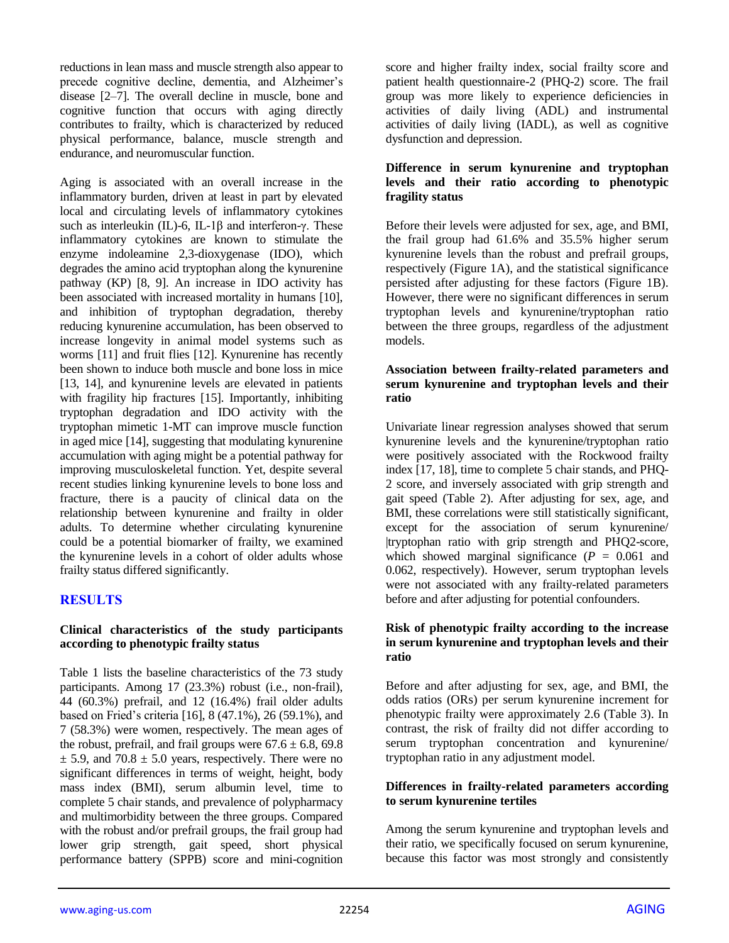reductions in lean mass and muscle strength also appear to precede cognitive decline, dementia, and Alzheimer's disease [2–7]. The overall decline in muscle, bone and cognitive function that occurs with aging directly contributes to frailty, which is characterized by reduced physical performance, balance, muscle strength and endurance, and neuromuscular function.

Aging is associated with an overall increase in the inflammatory burden, driven at least in part by elevated local and circulating levels of inflammatory cytokines such as interleukin (IL)-6, IL-1β and interferon-γ. These inflammatory cytokines are known to stimulate the enzyme indoleamine 2,3-dioxygenase (IDO), which degrades the amino acid tryptophan along the kynurenine pathway (KP) [8, 9]. An increase in IDO activity has been associated with increased mortality in humans [10], and inhibition of tryptophan degradation, thereby reducing kynurenine accumulation, has been observed to increase longevity in animal model systems such as worms [11] and fruit flies [12]. Kynurenine has recently been shown to induce both muscle and bone loss in mice [13, 14], and kynurenine levels are elevated in patients with fragility hip fractures [15]. Importantly, inhibiting tryptophan degradation and IDO activity with the tryptophan mimetic 1-MT can improve muscle function in aged mice [14], suggesting that modulating kynurenine accumulation with aging might be a potential pathway for improving musculoskeletal function. Yet, despite several recent studies linking kynurenine levels to bone loss and fracture, there is a paucity of clinical data on the relationship between kynurenine and frailty in older adults. To determine whether circulating kynurenine could be a potential biomarker of frailty, we examined the kynurenine levels in a cohort of older adults whose frailty status differed significantly.

## **RESULTS**

#### **Clinical characteristics of the study participants according to phenotypic frailty status**

Table 1 lists the baseline characteristics of the 73 study participants. Among 17 (23.3%) robust (i.e., non-frail), 44 (60.3%) prefrail, and 12 (16.4%) frail older adults based on Fried's criteria [16], 8 (47.1%), 26 (59.1%), and 7 (58.3%) were women, respectively. The mean ages of the robust, prefrail, and frail groups were  $67.6 \pm 6.8$ , 69.8  $\pm$  5.9, and 70.8  $\pm$  5.0 years, respectively. There were no significant differences in terms of weight, height, body mass index (BMI), serum albumin level, time to complete 5 chair stands, and prevalence of polypharmacy and multimorbidity between the three groups. Compared with the robust and/or prefrail groups, the frail group had lower grip strength, gait speed, short physical performance battery (SPPB) score and mini-cognition

score and higher frailty index, social frailty score and patient health questionnaire-2 (PHQ-2) score. The frail group was more likely to experience deficiencies in activities of daily living (ADL) and instrumental activities of daily living (IADL), as well as cognitive dysfunction and depression.

#### **Difference in serum kynurenine and tryptophan levels and their ratio according to phenotypic fragility status**

Before their levels were adjusted for sex, age, and BMI, the frail group had 61.6% and 35.5% higher serum kynurenine levels than the robust and prefrail groups, respectively (Figure 1A), and the statistical significance persisted after adjusting for these factors (Figure 1B). However, there were no significant differences in serum tryptophan levels and kynurenine/tryptophan ratio between the three groups, regardless of the adjustment models.

#### **Association between frailty-related parameters and serum kynurenine and tryptophan levels and their ratio**

Univariate linear regression analyses showed that serum kynurenine levels and the kynurenine/tryptophan ratio were positively associated with the Rockwood frailty index [17, 18], time to complete 5 chair stands, and PHQ-2 score, and inversely associated with grip strength and gait speed (Table 2). After adjusting for sex, age, and BMI, these correlations were still statistically significant, except for the association of serum kynurenine/ |tryptophan ratio with grip strength and PHQ2-score, which showed marginal significance  $(P = 0.061$  and 0.062, respectively). However, serum tryptophan levels were not associated with any frailty-related parameters before and after adjusting for potential confounders.

#### **Risk of phenotypic frailty according to the increase in serum kynurenine and tryptophan levels and their ratio**

Before and after adjusting for sex, age, and BMI, the odds ratios (ORs) per serum kynurenine increment for phenotypic frailty were approximately 2.6 (Table 3). In contrast, the risk of frailty did not differ according to serum tryptophan concentration and kynurenine/ tryptophan ratio in any adjustment model.

#### **Differences in frailty-related parameters according to serum kynurenine tertiles**

Among the serum kynurenine and tryptophan levels and their ratio, we specifically focused on serum kynurenine, because this factor was most strongly and consistently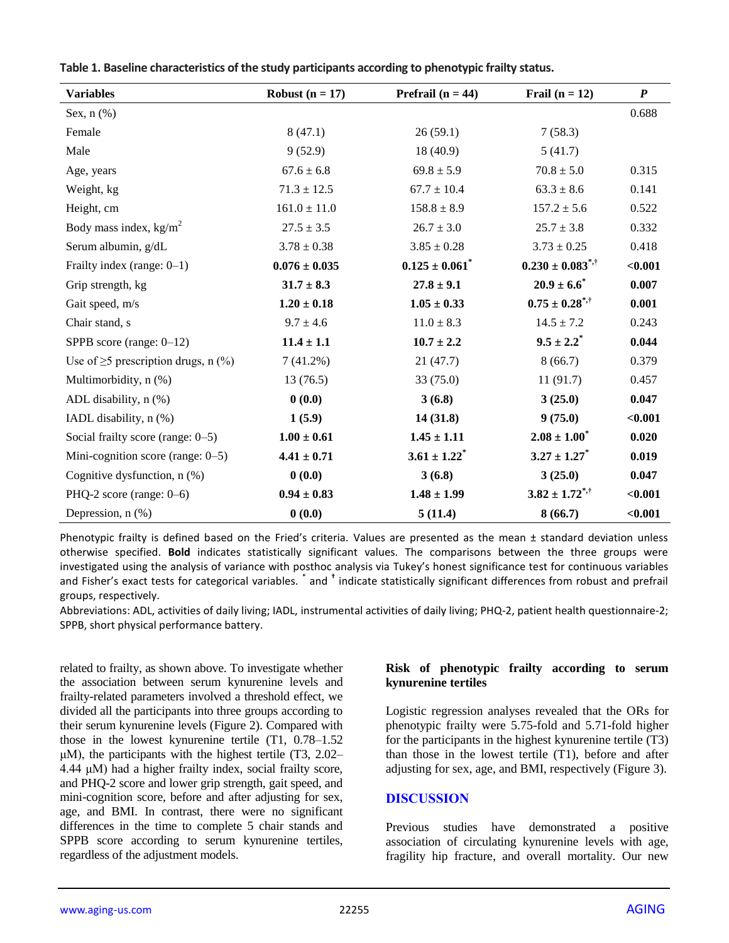| Table 1. Daschille characteristics of the study participants according to phenotypic hanty status. |                   |                            |                  |     |  |  |
|----------------------------------------------------------------------------------------------------|-------------------|----------------------------|------------------|-----|--|--|
| <b>Variables</b>                                                                                   | Robust $(n = 17)$ | <b>Prefrail</b> $(n = 44)$ | Frail $(n = 12)$ |     |  |  |
| Sex, $n$ $(\%)$                                                                                    |                   |                            |                  | 0.6 |  |  |
|                                                                                                    | _ _ _ _ _         | _ _ _ _ _ _                | _ _ _ _ _        |     |  |  |

| у агіарісэ                                | <b>IVALUATE (II – 11)</b> | $11$ ch air $(11 - 77)$        | $\Gamma$ all $(II - I4)$         | $\mathbf{I}$ |
|-------------------------------------------|---------------------------|--------------------------------|----------------------------------|--------------|
| Sex, $n$ $(\%)$                           |                           |                                |                                  | 0.688        |
| Female                                    | 8(47.1)                   | 26(59.1)                       | 7(58.3)                          |              |
| Male                                      | 9(52.9)                   | 18(40.9)                       | 5(41.7)                          |              |
| Age, years                                | $67.6 \pm 6.8$            | $69.8 \pm 5.9$                 | $70.8 \pm 5.0$                   | 0.315        |
| Weight, kg                                | $71.3 \pm 12.5$           | $67.7 \pm 10.4$                | $63.3 \pm 8.6$                   | 0.141        |
| Height, cm                                | $161.0 \pm 11.0$          | $158.8 \pm 8.9$                | $157.2 \pm 5.6$                  | 0.522        |
| Body mass index, $\text{kg/m}^2$          | $27.5 \pm 3.5$            | $26.7 \pm 3.0$                 | $25.7 \pm 3.8$                   | 0.332        |
| Serum albumin, g/dL                       | $3.78 \pm 0.38$           | $3.85 \pm 0.28$                | $3.73 \pm 0.25$                  | 0.418        |
| Frailty index (range: $0-1$ )             | $0.076 \pm 0.035$         | $0.125 \pm 0.061$ <sup>*</sup> | $0.230 \pm 0.083$ <sup>*,†</sup> | < 0.001      |
| Grip strength, kg                         | $31.7 \pm 8.3$            | $27.8 \pm 9.1$                 | $20.9 \pm 6.6^*$                 | 0.007        |
| Gait speed, m/s                           | $1.20 \pm 0.18$           | $1.05 \pm 0.33$                | $0.75 \pm 0.28$ <sup>*,†</sup>   | 0.001        |
| Chair stand, s                            | $9.7 \pm 4.6$             | $11.0 \pm 8.3$                 | $14.5 \pm 7.2$                   | 0.243        |
| SPPB score (range: $0-12$ )               | $11.4 \pm 1.1$            | $10.7 \pm 2.2$                 | $9.5 \pm 2.2^*$                  | 0.044        |
| Use of $\geq$ 5 prescription drugs, n (%) | 7(41.2%)                  | 21(47.7)                       | 8(66.7)                          | 0.379        |
| Multimorbidity, n (%)                     | 13(76.5)                  | 33(75.0)                       | 11(91.7)                         | 0.457        |
| ADL disability, $n$ $(\%)$                | 0(0.0)                    | 3(6.8)                         | 3(25.0)                          | 0.047        |
| IADL disability, n (%)                    | 1(5.9)                    | 14(31.8)                       | 9(75.0)                          | < 0.001      |
| Social frailty score (range: 0–5)         | $1.00 \pm 0.61$           | $1.45 \pm 1.11$                | $2.08 \pm 1.00^*$                | 0.020        |
| Mini-cognition score (range: 0-5)         | $4.41 \pm 0.71$           | $3.61 \pm 1.22$ <sup>*</sup>   | $3.27 \pm 1.27$                  | 0.019        |
| Cognitive dysfunction, $n$ (%)            | 0(0.0)                    | 3(6.8)                         | 3(25.0)                          | 0.047        |
| PHQ-2 score (range: 0–6)                  | $0.94 \pm 0.83$           | $1.48 \pm 1.99$                | $3.82 \pm 1.72^{*,+}$            | < 0.001      |
| Depression, $n$ $(\%)$                    | 0(0.0)                    | 5(11.4)                        | 8(66.7)                          | < 0.001      |
|                                           |                           |                                |                                  |              |

Phenotypic frailty is defined based on the Fried's criteria. Values are presented as the mean ± standard deviation unless otherwise specified. **Bold** indicates statistically significant values. The comparisons between the three groups were investigated using the analysis of variance with posthoc analysis via Tukey's honest significance test for continuous variables and Fisher's exact tests for categorical variables. <sup>\*</sup> and <sup>†</sup> indicate statistically significant differences from robust and prefrail groups, respectively.

Abbreviations: ADL, activities of daily living; IADL, instrumental activities of daily living; PHQ-2, patient health questionnaire-2; SPPB, short physical performance battery.

related to frailty, as shown above. To investigate whether the association between serum kynurenine levels and frailty-related parameters involved a threshold effect, we divided all the participants into three groups according to their serum kynurenine levels (Figure 2). Compared with those in the lowest kynurenine tertile (T1, 0.78–1.52 μM), the participants with the highest tertile (T3, 2.02– 4.44 μM) had a higher frailty index, social frailty score, and PHQ-2 score and lower grip strength, gait speed, and mini-cognition score, before and after adjusting for sex, age, and BMI. In contrast, there were no significant differences in the time to complete 5 chair stands and SPPB score according to serum kynurenine tertiles, regardless of the adjustment models.

#### **Risk of phenotypic frailty according to serum kynurenine tertiles**

Logistic regression analyses revealed that the ORs for phenotypic frailty were 5.75-fold and 5.71-fold higher for the participants in the highest kynurenine tertile (T3) than those in the lowest tertile (T1), before and after adjusting for sex, age, and BMI, respectively (Figure 3).

#### **DISCUSSION**

Previous studies have demonstrated a positive association of circulating kynurenine levels with age, fragility hip fracture, and overall mortality. Our new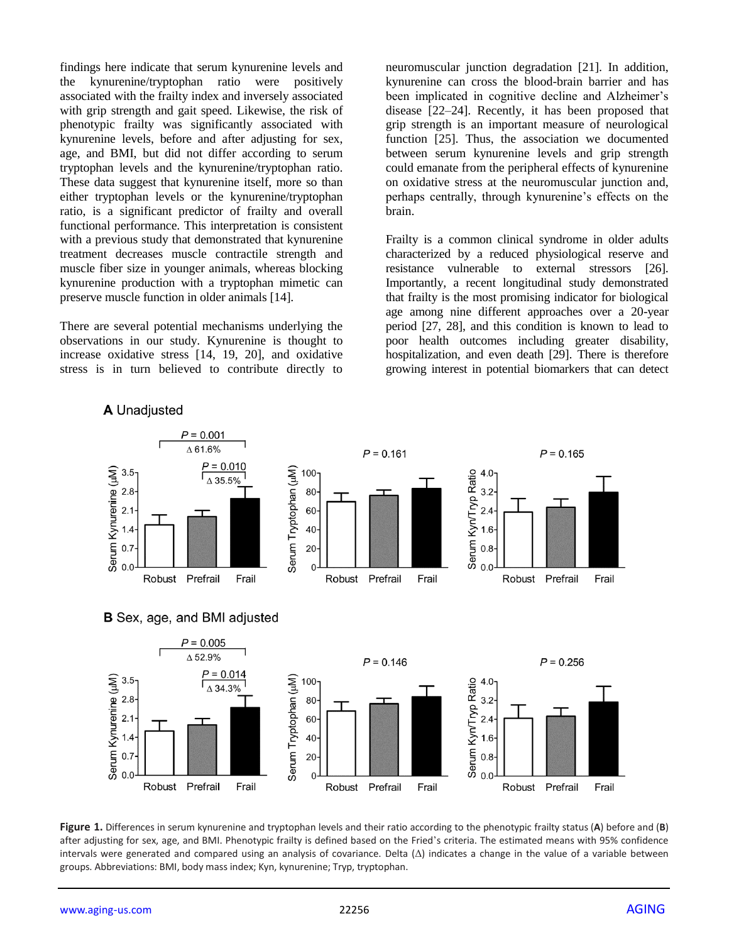findings here indicate that serum kynurenine levels and the kynurenine/tryptophan ratio were positively associated with the frailty index and inversely associated with grip strength and gait speed. Likewise, the risk of phenotypic frailty was significantly associated with kynurenine levels, before and after adjusting for sex, age, and BMI, but did not differ according to serum tryptophan levels and the kynurenine/tryptophan ratio. These data suggest that kynurenine itself, more so than either tryptophan levels or the kynurenine/tryptophan ratio, is a significant predictor of frailty and overall functional performance. This interpretation is consistent with a previous study that demonstrated that kynurenine treatment decreases muscle contractile strength and muscle fiber size in younger animals, whereas blocking kynurenine production with a tryptophan mimetic can preserve muscle function in older animals [14].

There are several potential mechanisms underlying the observations in our study. Kynurenine is thought to increase oxidative stress [14, 19, 20], and oxidative stress is in turn believed to contribute directly to neuromuscular junction degradation [21]. In addition, kynurenine can cross the blood-brain barrier and has been implicated in cognitive decline and Alzheimer's disease [22–24]. Recently, it has been proposed that grip strength is an important measure of neurological function [25]. Thus, the association we documented between serum kynurenine levels and grip strength could emanate from the peripheral effects of kynurenine on oxidative stress at the neuromuscular junction and, perhaps centrally, through kynurenine's effects on the brain.

Frailty is a common clinical syndrome in older adults characterized by a reduced physiological reserve and resistance vulnerable to external stressors [26]. Importantly, a recent longitudinal study demonstrated that frailty is the most promising indicator for biological age among nine different approaches over a 20-year period [27, 28], and this condition is known to lead to poor health outcomes including greater disability, hospitalization, and even death [29]. There is therefore growing interest in potential biomarkers that can detect



**Figure 1.** Differences in serum kynurenine and tryptophan levels and their ratio according to the phenotypic frailty status (**A**) before and (**B**) after adjusting for sex, age, and BMI. Phenotypic frailty is defined based on the Fried's criteria. The estimated means with 95% confidence intervals were generated and compared using an analysis of covariance. Delta (Δ) indicates a change in the value of a variable between groups. Abbreviations: BMI, body mass index; Kyn, kynurenine; Tryp, tryptophan.

#### A Unadjusted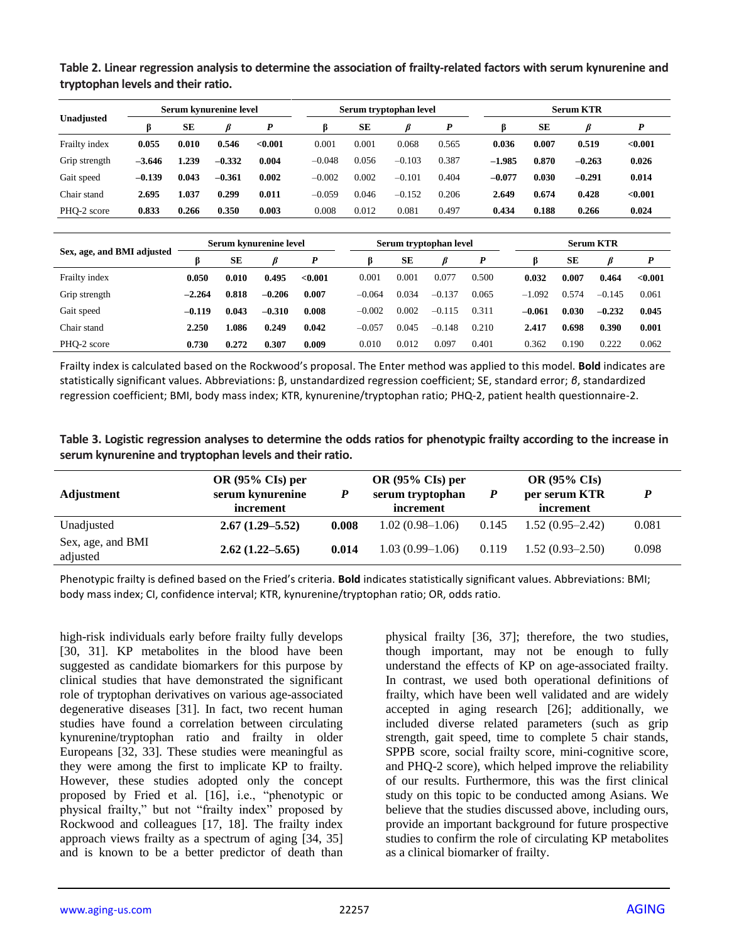|               |          | Serum kvnurenine level |          |         |          | Serum tryptophan level |          |       |          | <b>Serum KTR</b> |          |         |  |
|---------------|----------|------------------------|----------|---------|----------|------------------------|----------|-------|----------|------------------|----------|---------|--|
| Unadjusted    |          | SЕ                     |          | D       |          | SЕ                     |          | P     |          | SЕ               |          | D       |  |
| Frailty index | 0.055    | 0.010                  | 0.546    | < 0.001 | 0.001    | 0.001                  | 0.068    | 0.565 | 0.036    | 0.007            | 0.519    | < 0.001 |  |
| Grip strength | $-3.646$ | 1.239                  | $-0.332$ | 0.004   | $-0.048$ | 0.056                  | $-0.103$ | 0.387 | $-1.985$ | 0.870            | $-0.263$ | 0.026   |  |
| Gait speed    | $-0.139$ | 0.043                  | $-0.361$ | 0.002   | $-0.002$ | 0.002                  | $-0.101$ | 0.404 | $-0.077$ | 0.030            | $-0.291$ | 0.014   |  |
| Chair stand   | 2.695    | 1.037                  | 0.299    | 0.011   | $-0.059$ | 0.046                  | $-0.152$ | 0.206 | 2.649    | 0.674            | 0.428    | < 0.001 |  |
| PHO-2 score   | 0.833    | 0.266                  | 0.350    | 0.003   | 0.008    | 0.012                  | 0.081    | 0.497 | 0.434    | 0.188            | 0.266    | 0.024   |  |

**Table 2. Linear regression analysis to determine the association of frailty-related factors with serum kynurenine and tryptophan levels and their ratio.**

|                            | Serum kynurenine level |       |          | Serum tryptophan level |          |           |          | <b>Serum KTR</b> |          |       |          |            |
|----------------------------|------------------------|-------|----------|------------------------|----------|-----------|----------|------------------|----------|-------|----------|------------|
| Sex, age, and BMI adjusted |                        | SЕ    |          | P                      |          | SЕ        |          |                  |          | SE    |          |            |
| Frailty index              | 0.050                  | 0.010 | 0.495    | < 0.001                | 0.001    | $0.001\,$ | 0.077    | 0.500            | 0.032    | 0.007 | 0.464    | ${<}0.001$ |
| Grip strength              | $-2.264$               | 0.818 | $-0.206$ | 0.007                  | $-0.064$ | 0.034     | $-0.137$ | 0.065            | $-1.092$ | 0.574 | $-0.145$ | 0.061      |
| Gait speed                 | $-0.119$               | 0.043 | $-0.310$ | 0.008                  | $-0.002$ | 0.002     | $-0.115$ | 0.311            | $-0.061$ | 0.030 | $-0.232$ | 0.045      |
| Chair stand                | 2.250                  | 1.086 | 0.249    | 0.042                  | $-0.057$ | 0.045     | $-0.148$ | 0.210            | 2.417    | 0.698 | 0.390    | 0.001      |
| PHO-2 score                | 0.730                  | 0.272 | 0.307    | 0.009                  | 0.010    | 0.012     | 0.097    | 0.401            | 0.362    | 0.190 | 0.222    | 0.062      |

Frailty index is calculated based on the Rockwood's proposal. The Enter method was applied to this model. **Bold** indicates are statistically significant values. Abbreviations: β, unstandardized regression coefficient; SE, standard error; *β*, standardized regression coefficient; BMI, body mass index; KTR, kynurenine/tryptophan ratio; PHQ-2, patient health questionnaire-2.

| Table 3. Logistic regression analyses to determine the odds ratios for phenotypic frailty according to the increase in |  |
|------------------------------------------------------------------------------------------------------------------------|--|
| serum kynurenine and tryptophan levels and their ratio.                                                                |  |

| Adjustment                    | OR $(95\%$ CIs) per<br>serum kynurenine<br>increment | $\boldsymbol{P}$ | OR $(95\%$ CIs) per<br>serum tryptophan<br>increment | P     | <b>OR (95% CIs)</b><br>per serum KTR<br>increment |       |
|-------------------------------|------------------------------------------------------|------------------|------------------------------------------------------|-------|---------------------------------------------------|-------|
| Unadjusted                    | $2.67(1.29 - 5.52)$                                  | 0.008            | $1.02(0.98-1.06)$                                    | 0.145 | $1.52(0.95-2.42)$                                 | 0.081 |
| Sex, age, and BMI<br>adjusted | $2.62(1.22 - 5.65)$                                  | 0.014            | $1.03(0.99-1.06)$                                    | 0.119 | $1.52(0.93-2.50)$                                 | 0.098 |

Phenotypic frailty is defined based on the Fried's criteria. **Bold** indicates statistically significant values. Abbreviations: BMI; body mass index; CI, confidence interval; KTR, kynurenine/tryptophan ratio; OR, odds ratio.

high-risk individuals early before frailty fully develops [30, 31]. KP metabolites in the blood have been suggested as candidate biomarkers for this purpose by clinical studies that have demonstrated the significant role of tryptophan derivatives on various age-associated degenerative diseases [31]. In fact, two recent human studies have found a correlation between circulating kynurenine/tryptophan ratio and frailty in older Europeans [32, 33]. These studies were meaningful as they were among the first to implicate KP to frailty. However, these studies adopted only the concept proposed by Fried et al. [16], i.e., "phenotypic or physical frailty," but not "frailty index" proposed by Rockwood and colleagues [17, 18]. The frailty index approach views frailty as a spectrum of aging [34, 35] and is known to be a better predictor of death than

physical frailty [36, 37]; therefore, the two studies, though important, may not be enough to fully understand the effects of KP on age-associated frailty. In contrast, we used both operational definitions of frailty, which have been well validated and are widely accepted in aging research [26]; additionally, we included diverse related parameters (such as grip strength, gait speed, time to complete 5 chair stands, SPPB score, social frailty score, mini-cognitive score, and PHQ-2 score), which helped improve the reliability of our results. Furthermore, this was the first clinical study on this topic to be conducted among Asians. We believe that the studies discussed above, including ours, provide an important background for future prospective studies to confirm the role of circulating KP metabolites as a clinical biomarker of frailty.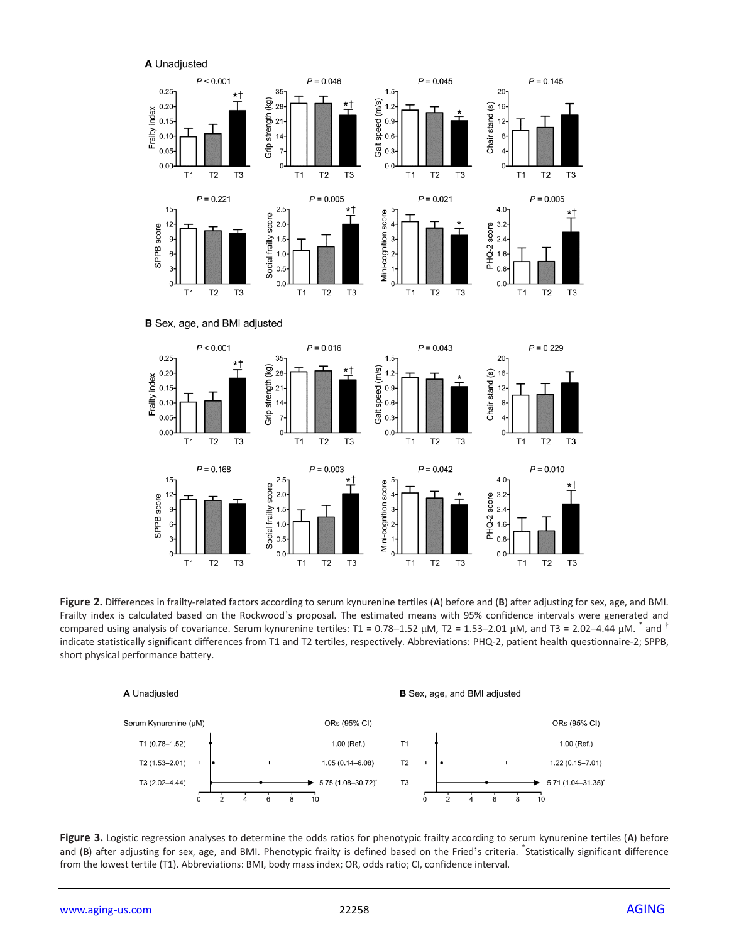A Unadjusted

 $T1$ 

 $15<sup>1</sup>$ 

 $12$ 

6

3  $0 -$ 

 $T1$ 

SPPB score

 $T<sub>2</sub>$ 

 $P = 0.168$ 

 $T<sub>2</sub>$ 

T<sub>3</sub>

T<sub>3</sub>

 $T1$ 

 $2.5 -$ 

 $2.0 -$ 

 $1.0$  $0.5$ 

 $0.0$ 

 $T1$ 

score

Social frailty  $1.5$   $T<sub>2</sub>$ 

 $P = 0.003$ 

 $T2$ 

T<sub>3</sub>

 $T<sub>3</sub>$ 

 $T<sub>2</sub>$ 

 $P = 0.042$ 

 $T2$ 

T<sub>3</sub>

 $T<sub>1</sub>$ 

 $T1$ 

Mini-cognition score

T<sub>3</sub>

 $T<sub>2</sub>$ 

 $P = 0.010$ 

 $T2$ 

T<sub>3</sub>

T<sub>3</sub>

 $T<sub>1</sub>$ 

 $4.0 -$ 

 $^{8}_{00}$  3.2<br>  $^{12}_{00}$  2.4<br>  $^{16}_{00}$  1.6<br>  $^{16}_{0.8}$ 

 $0.0$ 

 $T1$ 



**Figure 2.** Differences in frailty-related factors according to serum kynurenine tertiles (**A**) before and (**B**) after adjusting for sex, age, and BMI. Frailty index is calculated based on the Rockwood's proposal. The estimated means with 95% confidence intervals were generated and compared using analysis of covariance. Serum kynurenine tertiles: T1 = 0.78–1.52 μM, T2 = 1.53–2.01 μM, and T3 = 2.02–4.44 μM.  $^{*}$  and  $^{†}$ indicate statistically significant differences from T1 and T2 tertiles, respectively. Abbreviations: PHQ-2, patient health questionnaire-2; SPPB, short physical performance battery.



**Figure 3.** Logistic regression analyses to determine the odds ratios for phenotypic frailty according to serum kynurenine tertiles (**A**) before and (B) after adjusting for sex, age, and BMI. Phenotypic frailty is defined based on the Fried's criteria. <sup>\*</sup>Statistically significant difference from the lowest tertile (T1). Abbreviations: BMI, body mass index; OR, odds ratio; CI, confidence interval.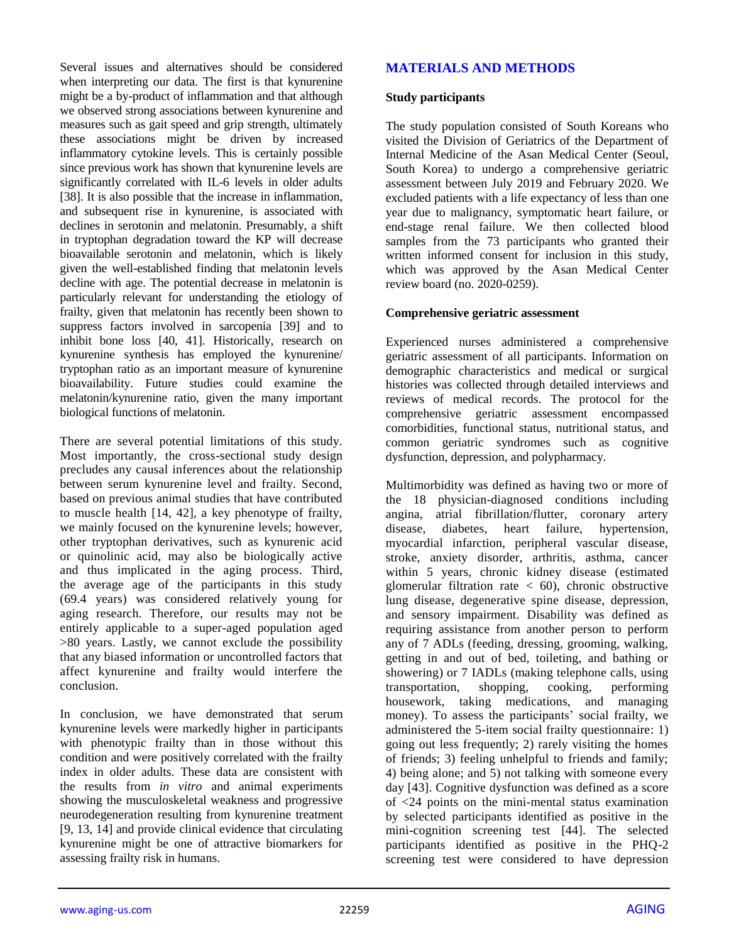Several issues and alternatives should be considered when interpreting our data. The first is that kynurenine might be a by-product of inflammation and that although we observed strong associations between kynurenine and measures such as gait speed and grip strength, ultimately these associations might be driven by increased inflammatory cytokine levels. This is certainly possible since previous work has shown that kynurenine levels are significantly correlated with IL-6 levels in older adults [38]. It is also possible that the increase in inflammation, and subsequent rise in kynurenine, is associated with declines in serotonin and melatonin. Presumably, a shift in tryptophan degradation toward the KP will decrease bioavailable serotonin and melatonin, which is likely given the well-established finding that melatonin levels decline with age. The potential decrease in melatonin is particularly relevant for understanding the etiology of frailty, given that melatonin has recently been shown to suppress factors involved in sarcopenia [39] and to inhibit bone loss [40, 41]. Historically, research on kynurenine synthesis has employed the kynurenine/ tryptophan ratio as an important measure of kynurenine bioavailability. Future studies could examine the melatonin/kynurenine ratio, given the many important biological functions of melatonin.

There are several potential limitations of this study. Most importantly, the cross-sectional study design precludes any causal inferences about the relationship between serum kynurenine level and frailty. Second, based on previous animal studies that have contributed to muscle health [14, 42], a key phenotype of frailty, we mainly focused on the kynurenine levels; however, other tryptophan derivatives, such as kynurenic acid or quinolinic acid, may also be biologically active and thus implicated in the aging process. Third, the average age of the participants in this study (69.4 years) was considered relatively young for aging research. Therefore, our results may not be entirely applicable to a super-aged population aged >80 years. Lastly, we cannot exclude the possibility that any biased information or uncontrolled factors that affect kynurenine and frailty would interfere the conclusion.

In conclusion, we have demonstrated that serum kynurenine levels were markedly higher in participants with phenotypic frailty than in those without this condition and were positively correlated with the frailty index in older adults. These data are consistent with the results from *in vitro* and animal experiments showing the musculoskeletal weakness and progressive neurodegeneration resulting from kynurenine treatment [9, 13, 14] and provide clinical evidence that circulating kynurenine might be one of attractive biomarkers for assessing frailty risk in humans.

# **MATERIALS AND METHODS**

#### **Study participants**

The study population consisted of South Koreans who visited the Division of Geriatrics of the Department of Internal Medicine of the Asan Medical Center (Seoul, South Korea) to undergo a comprehensive geriatric assessment between July 2019 and February 2020. We excluded patients with a life expectancy of less than one year due to malignancy, symptomatic heart failure, or end-stage renal failure. We then collected blood samples from the 73 participants who granted their written informed consent for inclusion in this study, which was approved by the Asan Medical Center review board (no. 2020-0259).

#### **Comprehensive geriatric assessment**

Experienced nurses administered a comprehensive geriatric assessment of all participants. Information on demographic characteristics and medical or surgical histories was collected through detailed interviews and reviews of medical records. The protocol for the comprehensive geriatric assessment encompassed comorbidities, functional status, nutritional status, and common geriatric syndromes such as cognitive dysfunction, depression, and polypharmacy.

Multimorbidity was defined as having two or more of the 18 physician-diagnosed conditions including angina, atrial fibrillation/flutter, coronary artery disease, diabetes, heart failure, hypertension, myocardial infarction, peripheral vascular disease, stroke, anxiety disorder, arthritis, asthma, cancer within 5 years, chronic kidney disease (estimated glomerular filtration rate  $<$  60), chronic obstructive lung disease, degenerative spine disease, depression, and sensory impairment. Disability was defined as requiring assistance from another person to perform any of 7 ADLs (feeding, dressing, grooming, walking, getting in and out of bed, toileting, and bathing or showering) or 7 IADLs (making telephone calls, using transportation, shopping, cooking, performing housework, taking medications, and managing money). To assess the participants' social frailty, we administered the 5-item social frailty questionnaire: 1) going out less frequently; 2) rarely visiting the homes of friends; 3) feeling unhelpful to friends and family; 4) being alone; and 5) not talking with someone every day [43]. Cognitive dysfunction was defined as a score of <24 points on the mini-mental status examination by selected participants identified as positive in the mini-cognition screening test [44]. The selected participants identified as positive in the PHQ-2 screening test were considered to have depression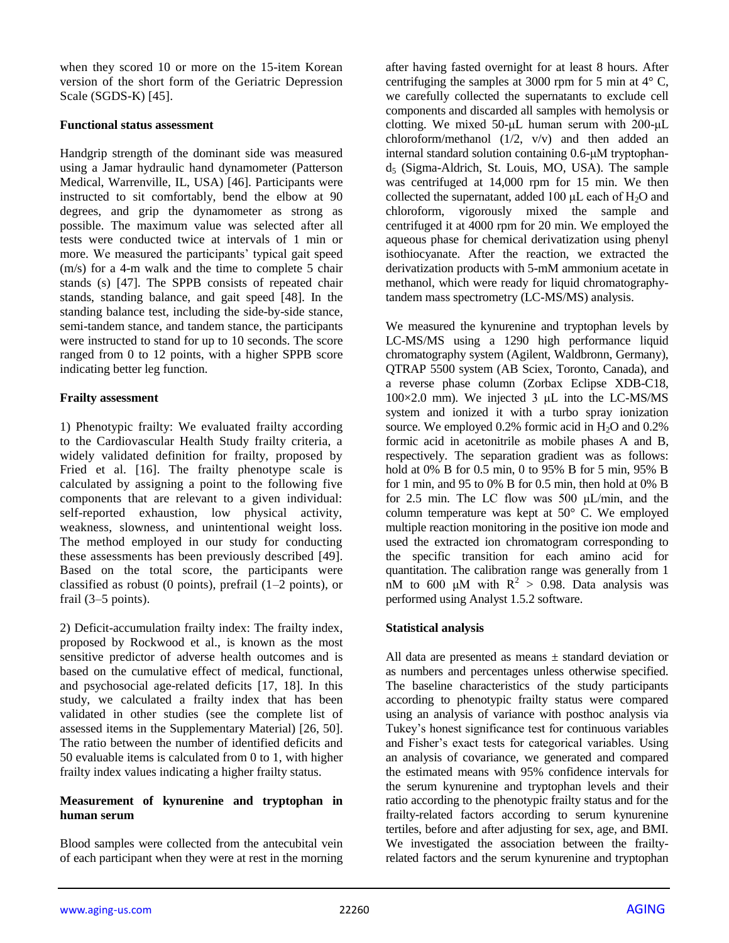when they scored 10 or more on the 15-item Korean version of the short form of the Geriatric Depression Scale (SGDS-K) [45].

#### **Functional status assessment**

Handgrip strength of the dominant side was measured using a Jamar hydraulic hand dynamometer (Patterson Medical, Warrenville, IL, USA) [46]. Participants were instructed to sit comfortably, bend the elbow at 90 degrees, and grip the dynamometer as strong as possible. The maximum value was selected after all tests were conducted twice at intervals of 1 min or more. We measured the participants' typical gait speed (m/s) for a 4-m walk and the time to complete 5 chair stands (s) [47]. The SPPB consists of repeated chair stands, standing balance, and gait speed [48]. In the standing balance test, including the side-by-side stance, semi-tandem stance, and tandem stance, the participants were instructed to stand for up to 10 seconds. The score ranged from 0 to 12 points, with a higher SPPB score indicating better leg function.

## **Frailty assessment**

1) Phenotypic frailty: We evaluated frailty according to the Cardiovascular Health Study frailty criteria, a widely validated definition for frailty, proposed by Fried et al. [16]. The frailty phenotype scale is calculated by assigning a point to the following five components that are relevant to a given individual: self-reported exhaustion, low physical activity, weakness, slowness, and unintentional weight loss. The method employed in our study for conducting these assessments has been previously described [49]. Based on the total score, the participants were classified as robust (0 points), prefrail (1–2 points), or frail (3–5 points).

2) Deficit-accumulation frailty index: The frailty index, proposed by Rockwood et al., is known as the most sensitive predictor of adverse health outcomes and is based on the cumulative effect of medical, functional, and psychosocial age-related deficits [17, 18]. In this study, we calculated a frailty index that has been validated in other studies (see the complete list of assessed items in the Supplementary Material) [26, 50]. The ratio between the number of identified deficits and 50 evaluable items is calculated from 0 to 1, with higher frailty index values indicating a higher frailty status.

## **Measurement of kynurenine and tryptophan in human serum**

Blood samples were collected from the antecubital vein of each participant when they were at rest in the morning after having fasted overnight for at least 8 hours. After centrifuging the samples at 3000 rpm for 5 min at  $4^{\circ}$  C, we carefully collected the supernatants to exclude cell components and discarded all samples with hemolysis or clotting. We mixed 50-μL human serum with 200-μL chloroform/methanol  $(1/2, v/v)$  and then added an internal standard solution containing 0.6-μM tryptophan $d_5$  (Sigma-Aldrich, St. Louis, MO, USA). The sample was centrifuged at 14,000 rpm for 15 min. We then collected the supernatant, added 100  $\mu$ L each of H<sub>2</sub>O and chloroform, vigorously mixed the sample and centrifuged it at 4000 rpm for 20 min. We employed the aqueous phase for chemical derivatization using phenyl isothiocyanate. After the reaction, we extracted the derivatization products with 5-mM ammonium acetate in methanol, which were ready for liquid chromatographytandem mass spectrometry (LC-MS/MS) analysis.

We measured the kynurenine and tryptophan levels by LC-MS/MS using a 1290 high performance liquid chromatography system (Agilent, Waldbronn, Germany), QTRAP 5500 system (AB Sciex, Toronto, Canada), and a reverse phase column (Zorbax Eclipse XDB-C18, 100×2.0 mm). We injected 3 μL into the LC-MS/MS system and ionized it with a turbo spray ionization source. We employed  $0.2\%$  formic acid in H<sub>2</sub>O and  $0.2\%$ formic acid in acetonitrile as mobile phases A and B, respectively. The separation gradient was as follows: hold at 0% B for 0.5 min, 0 to 95% B for 5 min, 95% B for 1 min, and 95 to 0% B for 0.5 min, then hold at 0% B for 2.5 min. The LC flow was 500  $\mu$ L/min, and the column temperature was kept at 50° C. We employed multiple reaction monitoring in the positive ion mode and used the extracted ion chromatogram corresponding to the specific transition for each amino acid for quantitation. The calibration range was generally from 1 nM to 600  $\mu$ M with R<sup>2</sup> > 0.98. Data analysis was performed using Analyst 1.5.2 software.

## **Statistical analysis**

All data are presented as means  $\pm$  standard deviation or as numbers and percentages unless otherwise specified. The baseline characteristics of the study participants according to phenotypic frailty status were compared using an analysis of variance with posthoc analysis via Tukey's honest significance test for continuous variables and Fisher's exact tests for categorical variables. Using an analysis of covariance, we generated and compared the estimated means with 95% confidence intervals for the serum kynurenine and tryptophan levels and their ratio according to the phenotypic frailty status and for the frailty-related factors according to serum kynurenine tertiles, before and after adjusting for sex, age, and BMI. We investigated the association between the frailtyrelated factors and the serum kynurenine and tryptophan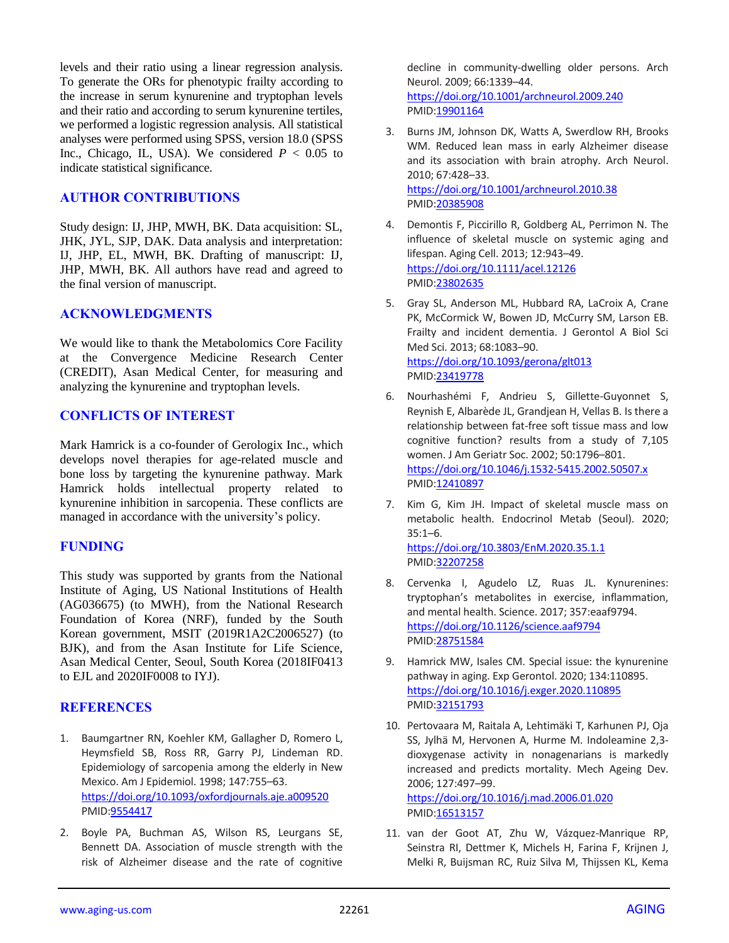levels and their ratio using a linear regression analysis. To generate the ORs for phenotypic frailty according to the increase in serum kynurenine and tryptophan levels and their ratio and according to serum kynurenine tertiles, we performed a logistic regression analysis. All statistical analyses were performed using SPSS, version 18.0 (SPSS Inc., Chicago, IL, USA). We considered  $P < 0.05$  to indicate statistical significance.

## **AUTHOR CONTRIBUTIONS**

Study design: IJ, JHP, MWH, BK. Data acquisition: SL, JHK, JYL, SJP, DAK. Data analysis and interpretation: IJ, JHP, EL, MWH, BK. Drafting of manuscript: IJ, JHP, MWH, BK. All authors have read and agreed to the final version of manuscript.

#### **ACKNOWLEDGMENTS**

We would like to thank the Metabolomics Core Facility at the Convergence Medicine Research Center (CREDIT), Asan Medical Center, for measuring and analyzing the kynurenine and tryptophan levels.

## **CONFLICTS OF INTEREST**

Mark Hamrick is a co-founder of Gerologix Inc., which develops novel therapies for age-related muscle and bone loss by targeting the kynurenine pathway. Mark Hamrick holds intellectual property related to kynurenine inhibition in sarcopenia. These conflicts are managed in accordance with the university's policy.

#### **FUNDING**

This study was supported by grants from the National Institute of Aging, US National Institutions of Health (AG036675) (to MWH), from the National Research Foundation of Korea (NRF), funded by the South Korean government, MSIT (2019R1A2C2006527) (to BJK), and from the Asan Institute for Life Science, Asan Medical Center, Seoul, South Korea (2018IF0413 to EJL and 2020IF0008 to IYJ).

#### **REFERENCES**

- 1. Baumgartner RN, Koehler KM, Gallagher D, Romero L, Heymsfield SB, Ross RR, Garry PJ, Lindeman RD. Epidemiology of sarcopenia among the elderly in New Mexico. Am J Epidemiol. 1998; 147:755–63. <https://doi.org/10.1093/oxfordjournals.aje.a009520> PMID[:9554417](https://pubmed.ncbi.nlm.nih.gov/9554417)
- 2. Boyle PA, Buchman AS, Wilson RS, Leurgans SE, Bennett DA. Association of muscle strength with the risk of Alzheimer disease and the rate of cognitive

decline in community-dwelling older persons. Arch Neurol. 2009; 66:1339–44. <https://doi.org/10.1001/archneurol.2009.240> PMI[D:19901164](https://pubmed.ncbi.nlm.nih.gov/19901164)

- 3. Burns JM, Johnson DK, Watts A, Swerdlow RH, Brooks WM. Reduced lean mass in early Alzheimer disease and its association with brain atrophy. Arch Neurol. 2010; 67:428–33. <https://doi.org/10.1001/archneurol.2010.38> PMI[D:20385908](https://pubmed.ncbi.nlm.nih.gov/20385908)
- 4. Demontis F, Piccirillo R, Goldberg AL, Perrimon N. The influence of skeletal muscle on systemic aging and lifespan. Aging Cell. 2013; 12:943–49. <https://doi.org/10.1111/acel.12126> PMI[D:23802635](https://pubmed.ncbi.nlm.nih.gov/23802635)
- 5. Gray SL, Anderson ML, Hubbard RA, LaCroix A, Crane PK, McCormick W, Bowen JD, McCurry SM, Larson EB. Frailty and incident dementia. J Gerontol A Biol Sci Med Sci. 2013; 68:1083–90. <https://doi.org/10.1093/gerona/glt013> PMI[D:23419778](https://pubmed.ncbi.nlm.nih.gov/23419778)
- 6. Nourhashémi F, Andrieu S, Gillette-Guyonnet S, Reynish E, Albarède JL, Grandjean H, Vellas B. Is there a relationship between fat-free soft tissue mass and low cognitive function? results from a study of 7,105 women. J Am Geriatr Soc. 2002; 50:1796–801. <https://doi.org/10.1046/j.1532-5415.2002.50507.x> PMI[D:12410897](https://pubmed.ncbi.nlm.nih.gov/12410897)
- 7. Kim G, Kim JH. Impact of skeletal muscle mass on metabolic health. Endocrinol Metab (Seoul). 2020; 35:1–6. <https://doi.org/10.3803/EnM.2020.35.1.1> PMI[D:32207258](https://pubmed.ncbi.nlm.nih.gov/32207258)
- 8. Cervenka I, Agudelo LZ, Ruas JL. Kynurenines: tryptophan's metabolites in exercise, inflammation, and mental health. Science. 2017; 357:eaaf9794. <https://doi.org/10.1126/science.aaf9794> PMI[D:28751584](https://pubmed.ncbi.nlm.nih.gov/28751584)
- 9. Hamrick MW, Isales CM. Special issue: the kynurenine pathway in aging. Exp Gerontol. 2020; 134:110895. <https://doi.org/10.1016/j.exger.2020.110895> PMI[D:32151793](https://pubmed.ncbi.nlm.nih.gov/32151793)
- 10. Pertovaara M, Raitala A, Lehtimäki T, Karhunen PJ, Oja SS, Jylhä M, Hervonen A, Hurme M. Indoleamine 2,3 dioxygenase activity in nonagenarians is markedly increased and predicts mortality. Mech Ageing Dev. 2006; 127:497–99. <https://doi.org/10.1016/j.mad.2006.01.020> PMI[D:16513157](https://pubmed.ncbi.nlm.nih.gov/16513157)
- 11. van der Goot AT, Zhu W, Vázquez-Manrique RP, Seinstra RI, Dettmer K, Michels H, Farina F, Krijnen J, Melki R, Buijsman RC, Ruiz Silva M, Thijssen KL, Kema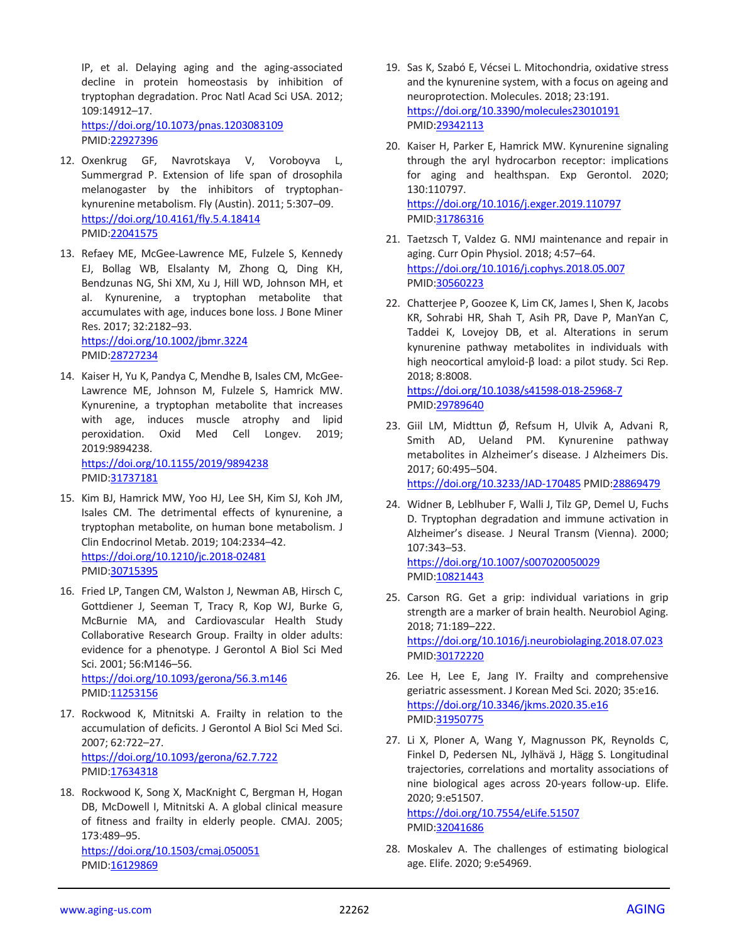IP, et al. Delaying aging and the aging-associated decline in protein homeostasis by inhibition of tryptophan degradation. Proc Natl Acad Sci USA. 2012; 109:14912–17. <https://doi.org/10.1073/pnas.1203083109>

PMID[:22927396](https://pubmed.ncbi.nlm.nih.gov/22927396)

- 12. Oxenkrug GF, Navrotskaya V, Voroboyva L, Summergrad P. Extension of life span of drosophila melanogaster by the inhibitors of tryptophankynurenine metabolism. Fly (Austin). 2011; 5:307–09. <https://doi.org/10.4161/fly.5.4.18414> PMID[:22041575](https://pubmed.ncbi.nlm.nih.gov/22041575)
- 13. Refaey ME, McGee-Lawrence ME, Fulzele S, Kennedy EJ, Bollag WB, Elsalanty M, Zhong Q, Ding KH, Bendzunas NG, Shi XM, Xu J, Hill WD, Johnson MH, et al. Kynurenine, a tryptophan metabolite that accumulates with age, induces bone loss. J Bone Miner Res. 2017; 32:2182–93. <https://doi.org/10.1002/jbmr.3224>

PMID[:28727234](https://pubmed.ncbi.nlm.nih.gov/28727234)

14. Kaiser H, Yu K, Pandya C, Mendhe B, Isales CM, McGee-Lawrence ME, Johnson M, Fulzele S, Hamrick MW. Kynurenine, a tryptophan metabolite that increases with age, induces muscle atrophy and lipid peroxidation. Oxid Med Cell Longev. 2019; 2019:9894238. <https://doi.org/10.1155/2019/9894238>

PMID[:31737181](https://pubmed.ncbi.nlm.nih.gov/31737181)

- 15. Kim BJ, Hamrick MW, Yoo HJ, Lee SH, Kim SJ, Koh JM, Isales CM. The detrimental effects of kynurenine, a tryptophan metabolite, on human bone metabolism. J Clin Endocrinol Metab. 2019; 104:2334–42. <https://doi.org/10.1210/jc.2018-02481> PMID[:30715395](https://pubmed.ncbi.nlm.nih.gov/30715395)
- 16. Fried LP, Tangen CM, Walston J, Newman AB, Hirsch C, Gottdiener J, Seeman T, Tracy R, Kop WJ, Burke G, McBurnie MA, and Cardiovascular Health Study Collaborative Research Group. Frailty in older adults: evidence for a phenotype. J Gerontol A Biol Sci Med Sci. 2001; 56:M146–56. <https://doi.org/10.1093/gerona/56.3.m146> PMID[:11253156](https://pubmed.ncbi.nlm.nih.gov/11253156)
- 17. Rockwood K, Mitnitski A. Frailty in relation to the accumulation of deficits. J Gerontol A Biol Sci Med Sci. 2007; 62:722–27. <https://doi.org/10.1093/gerona/62.7.722> PMID[:17634318](https://pubmed.ncbi.nlm.nih.gov/17634318)
- 18. Rockwood K, Song X, MacKnight C, Bergman H, Hogan DB, McDowell I, Mitnitski A. A global clinical measure of fitness and frailty in elderly people. CMAJ. 2005; 173:489–95.

<https://doi.org/10.1503/cmaj.050051> PMID: 16129869

- 19. Sas K, Szabó E, Vécsei L. Mitochondria, oxidative stress and the kynurenine system, with a focus on ageing and neuroprotection. Molecules. 2018; 23:191. <https://doi.org/10.3390/molecules23010191> PMI[D:29342113](https://pubmed.ncbi.nlm.nih.gov/29342113)
- 20. Kaiser H, Parker E, Hamrick MW. Kynurenine signaling through the aryl hydrocarbon receptor: implications for aging and healthspan. Exp Gerontol. 2020; 130:110797. <https://doi.org/10.1016/j.exger.2019.110797> PMI[D:31786316](https://pubmed.ncbi.nlm.nih.gov/31786316)
- 21. Taetzsch T, Valdez G. NMJ maintenance and repair in aging. Curr Opin Physiol. 2018; 4:57–64. <https://doi.org/10.1016/j.cophys.2018.05.007> PMI[D:30560223](https://pubmed.ncbi.nlm.nih.gov/30560223)
- 22. Chatterjee P, Goozee K, Lim CK, James I, Shen K, Jacobs KR, Sohrabi HR, Shah T, Asih PR, Dave P, ManYan C, Taddei K, Lovejoy DB, et al. Alterations in serum kynurenine pathway metabolites in individuals with high neocortical amyloid-β load: a pilot study. Sci Rep. 2018; 8:8008. <https://doi.org/10.1038/s41598-018-25968-7>

PMI[D:29789640](https://pubmed.ncbi.nlm.nih.gov/29789640)

- 23. Giil LM, Midttun Ø, Refsum H, Ulvik A, Advani R, Smith AD, Ueland PM. Kynurenine pathway metabolites in Alzheimer's disease. J Alzheimers Dis. 2017; 60:495–504. <https://doi.org/10.3233/JAD-170485> PMID[:28869479](https://pubmed.ncbi.nlm.nih.gov/28869479)
- 24. Widner B, Leblhuber F, Walli J, Tilz GP, Demel U, Fuchs D. Tryptophan degradation and immune activation in Alzheimer's disease. J Neural Transm (Vienna). 2000; 107:343–53. <https://doi.org/10.1007/s007020050029> PMID: 10821443
- 25. Carson RG. Get a grip: individual variations in grip strength are a marker of brain health. Neurobiol Aging. 2018; 71:189–222. <https://doi.org/10.1016/j.neurobiolaging.2018.07.023> PMI[D:30172220](https://pubmed.ncbi.nlm.nih.gov/30172220)
- 26. Lee H, Lee E, Jang IY. Frailty and comprehensive geriatric assessment. J Korean Med Sci. 2020; 35:e16. <https://doi.org/10.3346/jkms.2020.35.e16> PMI[D:31950775](https://pubmed.ncbi.nlm.nih.gov/31950775)
- 27. Li X, Ploner A, Wang Y, Magnusson PK, Reynolds C, Finkel D, Pedersen NL, Jylhävä J, Hägg S. Longitudinal trajectories, correlations and mortality associations of nine biological ages across 20-years follow-up. Elife. 2020; 9:e51507.

<https://doi.org/10.7554/eLife.51507> PMI[D:32041686](https://pubmed.ncbi.nlm.nih.gov/32041686)

28. Moskalev A. The challenges of estimating biological age. Elife. 2020; 9:e54969.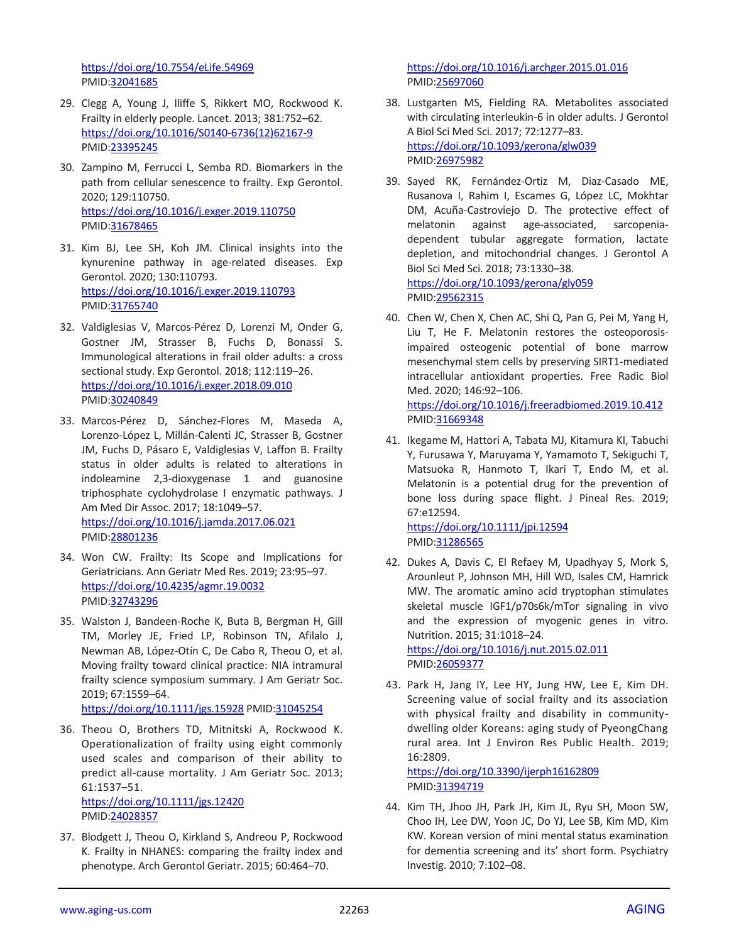<https://doi.org/10.7554/eLife.54969> PMID[:32041685](https://pubmed.ncbi.nlm.nih.gov/32041685)

- 29. Clegg A, Young J, Iliffe S, Rikkert MO, Rockwood K. Frailty in elderly people. Lancet. 2013; 381:752–62. [https://doi.org/10.1016/S0140-6736\(12\)62167-9](https://doi.org/10.1016/S0140-6736(12)62167-9) PMID[:23395245](https://pubmed.ncbi.nlm.nih.gov/23395245)
- 30. Zampino M, Ferrucci L, Semba RD. Biomarkers in the path from cellular senescence to frailty. Exp Gerontol. 2020; 129:110750. <https://doi.org/10.1016/j.exger.2019.110750> PMID[:31678465](https://pubmed.ncbi.nlm.nih.gov/31678465)
- 31. Kim BJ, Lee SH, Koh JM. Clinical insights into the kynurenine pathway in age-related diseases. Exp Gerontol. 2020; 130:110793. <https://doi.org/10.1016/j.exger.2019.110793> PMID[:31765740](https://pubmed.ncbi.nlm.nih.gov/31765740)
- 32. Valdiglesias V, Marcos-Pérez D, Lorenzi M, Onder G, Gostner JM, Strasser B, Fuchs D, Bonassi S. Immunological alterations in frail older adults: a cross sectional study. Exp Gerontol. 2018; 112:119–26. <https://doi.org/10.1016/j.exger.2018.09.010> PMID[:30240849](https://pubmed.ncbi.nlm.nih.gov/30240849)
- 33. Marcos-Pérez D, Sánchez-Flores M, Maseda A, Lorenzo-López L, Millán-Calenti JC, Strasser B, Gostner JM, Fuchs D, Pásaro E, Valdiglesias V, Laffon B. Frailty status in older adults is related to alterations in indoleamine 2,3-dioxygenase 1 and guanosine triphosphate cyclohydrolase I enzymatic pathways. J Am Med Dir Assoc. 2017; 18:1049–57. <https://doi.org/10.1016/j.jamda.2017.06.021> PMID[:28801236](https://pubmed.ncbi.nlm.nih.gov/28801236)
- 34. Won CW. Frailty: Its Scope and Implications for Geriatricians. Ann Geriatr Med Res. 2019; 23:95–97. <https://doi.org/10.4235/agmr.19.0032> PMID[:32743296](https://pubmed.ncbi.nlm.nih.gov/32743296)
- 35. Walston J, Bandeen-Roche K, Buta B, Bergman H, Gill TM, Morley JE, Fried LP, Robinson TN, Afilalo J, Newman AB, López-Otín C, De Cabo R, Theou O, et al. Moving frailty toward clinical practice: NIA intramural frailty science symposium summary. J Am Geriatr Soc. 2019; 67:1559–64.

<https://doi.org/10.1111/jgs.15928> PMI[D:31045254](https://pubmed.ncbi.nlm.nih.gov/31045254)

- 36. Theou O, Brothers TD, Mitnitski A, Rockwood K. Operationalization of frailty using eight commonly used scales and comparison of their ability to predict all-cause mortality. J Am Geriatr Soc. 2013; 61:1537–51. <https://doi.org/10.1111/jgs.12420> PMID[:24028357](https://pubmed.ncbi.nlm.nih.gov/24028357)
- 37. Blodgett J, Theou O, Kirkland S, Andreou P, Rockwood K. Frailty in NHANES: comparing the frailty index and phenotype. Arch Gerontol Geriatr. 2015; 60:464–70.

<https://doi.org/10.1016/j.archger.2015.01.016> PMI[D:25697060](https://pubmed.ncbi.nlm.nih.gov/25697060)

- 38. Lustgarten MS, Fielding RA. Metabolites associated with circulating interleukin-6 in older adults. J Gerontol A Biol Sci Med Sci. 2017; 72:1277–83. <https://doi.org/10.1093/gerona/glw039> PMI[D:26975982](https://pubmed.ncbi.nlm.nih.gov/26975982)
- 39. Sayed RK, Fernández-Ortiz M, Diaz-Casado ME, Rusanova I, Rahim I, Escames G, López LC, Mokhtar DM, Acuña-Castroviejo D. The protective effect of melatonin against age-associated, sarcopeniadependent tubular aggregate formation, lactate depletion, and mitochondrial changes. J Gerontol A Biol Sci Med Sci. 2018; 73:1330–38. <https://doi.org/10.1093/gerona/gly059> PMI[D:29562315](https://pubmed.ncbi.nlm.nih.gov/29562315)
- 40. Chen W, Chen X, Chen AC, Shi Q, Pan G, Pei M, Yang H, Liu T, He F. Melatonin restores the osteoporosisimpaired osteogenic potential of bone marrow mesenchymal stem cells by preserving SIRT1-mediated intracellular antioxidant properties. Free Radic Biol Med. 2020; 146:92–106. <https://doi.org/10.1016/j.freeradbiomed.2019.10.412> PMI[D:31669348](https://pubmed.ncbi.nlm.nih.gov/31669348)
- 41. Ikegame M, Hattori A, Tabata MJ, Kitamura KI, Tabuchi Y, Furusawa Y, Maruyama Y, Yamamoto T, Sekiguchi T, Matsuoka R, Hanmoto T, Ikari T, Endo M, et al. Melatonin is a potential drug for the prevention of bone loss during space flight. J Pineal Res. 2019; 67:e12594. <https://doi.org/10.1111/jpi.12594> PMI[D:31286565](https://pubmed.ncbi.nlm.nih.gov/31286565)
- 42. Dukes A, Davis C, El Refaey M, Upadhyay S, Mork S, Arounleut P, Johnson MH, Hill WD, Isales CM, Hamrick MW. The aromatic amino acid tryptophan stimulates skeletal muscle IGF1/p70s6k/mTor signaling in vivo and the expression of myogenic genes in vitro. Nutrition. 2015; 31:1018–24.

<https://doi.org/10.1016/j.nut.2015.02.011> PMI[D:26059377](https://pubmed.ncbi.nlm.nih.gov/26059377)

43. Park H, Jang IY, Lee HY, Jung HW, Lee E, Kim DH. Screening value of social frailty and its association with physical frailty and disability in communitydwelling older Koreans: aging study of PyeongChang rural area. Int J Environ Res Public Health. 2019; 16:2809.

<https://doi.org/10.3390/ijerph16162809> PMI[D:31394719](https://pubmed.ncbi.nlm.nih.gov/31394719)

44. Kim TH, Jhoo JH, Park JH, Kim JL, Ryu SH, Moon SW, Choo IH, Lee DW, Yoon JC, Do YJ, Lee SB, Kim MD, Kim KW. Korean version of mini mental status examination for dementia screening and its' short form. Psychiatry Investig. 2010; 7:102–08.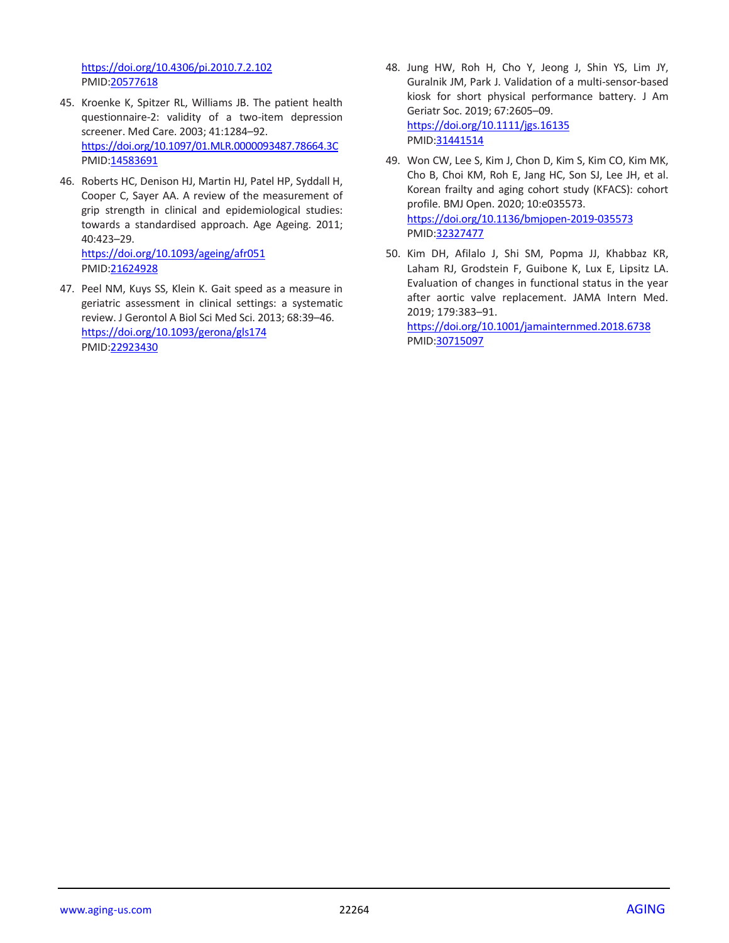<https://doi.org/10.4306/pi.2010.7.2.102> PMID[:20577618](https://pubmed.ncbi.nlm.nih.gov/20577618)

- 45. Kroenke K, Spitzer RL, Williams JB. The patient health questionnaire-2: validity of a two-item depression screener. Med Care. 2003; 41:1284–92. <https://doi.org/10.1097/01.MLR.0000093487.78664.3C> PMID[:14583691](https://pubmed.ncbi.nlm.nih.gov/14583691)
- 46. Roberts HC, Denison HJ, Martin HJ, Patel HP, Syddall H, Cooper C, Sayer AA. A review of the measurement of grip strength in clinical and epidemiological studies: towards a standardised approach. Age Ageing. 2011; 40:423–29. <https://doi.org/10.1093/ageing/afr051>

PMID[:21624928](https://pubmed.ncbi.nlm.nih.gov/21624928) 47. Peel NM, Kuys SS, Klein K. Gait speed as a measure in geriatric assessment in clinical settings: a systematic

review. J Gerontol A Biol Sci Med Sci. 2013; 68:39–46. <https://doi.org/10.1093/gerona/gls174> PMID[:22923430](https://pubmed.ncbi.nlm.nih.gov/22923430)

- 48. Jung HW, Roh H, Cho Y, Jeong J, Shin YS, Lim JY, Guralnik JM, Park J. Validation of a multi-sensor-based kiosk for short physical performance battery. J Am Geriatr Soc. 2019; 67:2605–09. <https://doi.org/10.1111/jgs.16135> PMI[D:31441514](https://pubmed.ncbi.nlm.nih.gov/31441514)
- 49. Won CW, Lee S, Kim J, Chon D, Kim S, Kim CO, Kim MK, Cho B, Choi KM, Roh E, Jang HC, Son SJ, Lee JH, et al. Korean frailty and aging cohort study (KFACS): cohort profile. BMJ Open. 2020; 10:e035573. <https://doi.org/10.1136/bmjopen-2019-035573> PMI[D:32327477](https://pubmed.ncbi.nlm.nih.gov/32327477)
- 50. Kim DH, Afilalo J, Shi SM, Popma JJ, Khabbaz KR, Laham RJ, Grodstein F, Guibone K, Lux E, Lipsitz LA. Evaluation of changes in functional status in the year after aortic valve replacement. JAMA Intern Med. 2019; 179:383–91.

<https://doi.org/10.1001/jamainternmed.2018.6738> PMI[D:30715097](https://pubmed.ncbi.nlm.nih.gov/30715097)